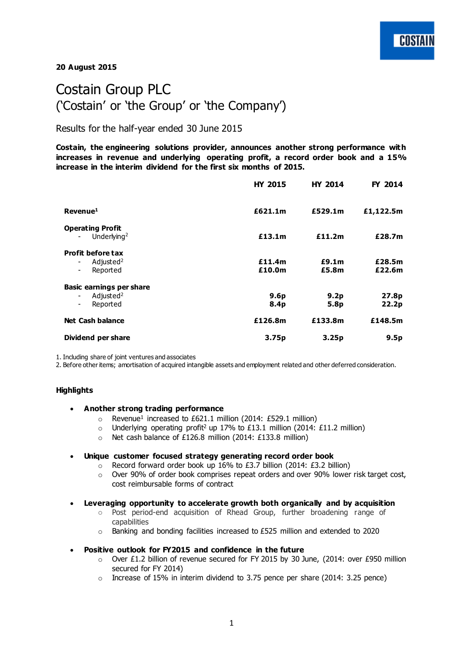**20 August 2015**

# Costain Group PLC ('Costain' or 'the Group' or 'the Company')

Results for the half-year ended 30 June 2015

**Costain, the engineering solutions provider, announces another strong performance with increases in revenue and underlying operating profit, a record order book and a 15% increase in the interim dividend for the first six months of 2015.** 

|                                                                                                        | <b>HY 2015</b>                       | <b>HY 2014</b>           | FY 2014                    |
|--------------------------------------------------------------------------------------------------------|--------------------------------------|--------------------------|----------------------------|
| Revenue <sup>1</sup>                                                                                   | £621.1m                              | £529.1m                  | £1,122.5m                  |
| <b>Operating Profit</b><br>Underlying <sup>2</sup>                                                     | £13.1m                               | £11.2m                   | £28.7m                     |
| <b>Profit before tax</b><br>Adjusted <sup>2</sup><br>$\overline{\phantom{0}}$<br>Reported<br>Ξ.        | £11.4m<br>£10.0m                     | £9.1m<br>£5.8m           | £28.5m<br>£22.6m           |
| <b>Basic earnings per share</b><br>Adjusted <sup>2</sup><br>$\overline{\phantom{0}}$<br>Reported<br>Ξ. | 9.6 <sub>p</sub><br>8.4 <sub>p</sub> | 9.2 <sub>p</sub><br>5.8p | 27.8p<br>22.2 <sub>p</sub> |
| <b>Net Cash balance</b>                                                                                | £126.8m                              | £133.8m                  | £148.5m                    |
| Dividend per share                                                                                     | 3.75 <sub>p</sub>                    | 3.25 <sub>p</sub>        | 9.5p                       |

1. Including share of joint ventures and associates

2. Before other items; amortisation of acquired intangible assets and employment related and other deferred consideration.

## **Highlights**

- **Another strong trading performance**
	- $\circ$  Revenue<sup>1</sup> increased to £621.1 million (2014: £529.1 million)
	- o Underlying operating profit<sup>2</sup> up 17% to £13.1 million (2014: £11.2 million)
	- o Net cash balance of £126.8 million (2014: £133.8 million)

## **Unique customer focused strategy generating record order book**

- o Record forward order book up 16% to £3.7 billion (2014: £3.2 billion)
- $\circ$  Over 90% of order book comprises repeat orders and over 90% lower risk target cost, cost reimbursable forms of contract
- **Leveraging opportunity to accelerate growth both organically and by acquisition**
	- Post period-end acquisition of Rhead Group, further broadening range of capabilities
	- o Banking and bonding facilities increased to £525 million and extended to 2020
- **Positive outlook for FY2015 and confidence in the future**
	- $\circ$  Over £1.2 billion of revenue secured for FY 2015 by 30 June, (2014: over £950 million secured for FY 2014)
	- $\circ$  Increase of 15% in interim dividend to 3.75 pence per share (2014: 3.25 pence)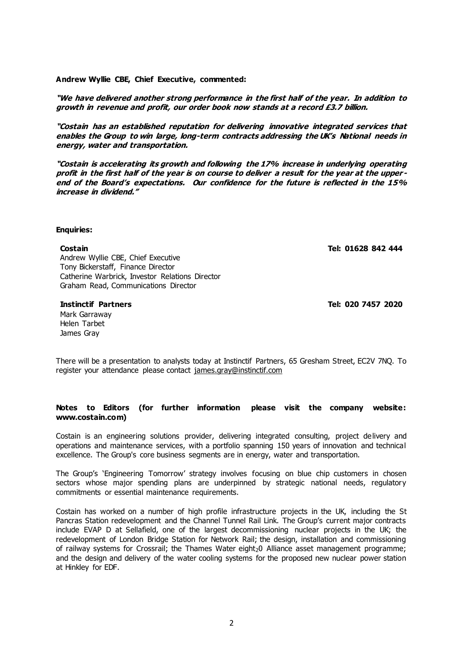**Andrew Wyllie CBE, Chief Executive, commented:** 

**"We have delivered another strong performance in the first half of the year. In addition to growth in revenue and profit, our order book now stands at a record £3.7 billion.** 

**"Costain has an established reputation for delivering innovative integrated services that enables the Group to win large, long-term contracts addressing the UK's National needs in energy, water and transportation.** 

**"Costain is accelerating its growth and following the 17% increase in underlying operating profit in the first half of the year is on course to deliver a result for the year at the upper end of the Board's expectations. Our confidence for the future is reflected in the 15% increase in dividend."**

## **Enquiries:**

Andrew Wyllie CBE, Chief Executive Tony Bickerstaff, Finance Director Catherine Warbrick, Investor Relations Director Graham Read, Communications Director

Mark Garraway Helen Tarbet James Gray

**Costain Tel: 01628 842 444**

**Instinctif Partners Tel: 020 7457 2020**

There will be a presentation to analysts today at Instinctif Partners, 65 Gresham Street, EC2V 7NQ. To register your attendance please contact [james.gray@instinctif.com](mailto:james.gray@instinctif.com)

## **Notes to Editors (for further information please visit the company website: [www.costain.com\)](http://www.poseidonplc.com/)**

Costain is an engineering solutions provider, delivering integrated consulting, project delivery and operations and maintenance services, with a portfolio spanning 150 years of innovation and technical excellence. The Group's core business segments are in energy, water and transportation.

The Group's 'Engineering Tomorrow' strategy involves focusing on blue chip customers in chosen sectors whose major spending plans are underpinned by strategic national needs, regulatory commitments or essential maintenance requirements.

Costain has worked on a number of high profile infrastructure projects in the UK, including the St Pancras Station redevelopment and the Channel Tunnel Rail Link. The Group's current major contracts include EVAP D at Sellafield, one of the largest decommissioning nuclear projects in the UK; the redevelopment of London Bridge Station for Network Rail; the design, installation and commissioning of railway systems for Crossrail; the Thames Water eight<sub>2</sub>0 Alliance asset management programme; and the design and delivery of the water cooling systems for the proposed new nuclear power station at Hinkley for EDF.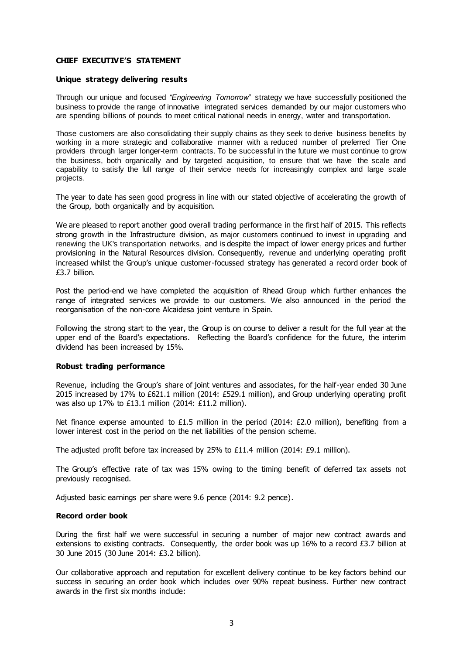## **CHIEF EXECUTIVE'S STATEMENT**

## **Unique strategy delivering results**

Through our unique and focused *"Engineering Tomorrow"* strategy we have successfully positioned the business to provide the range of innovative integrated services demanded by our major customers who are spending billions of pounds to meet critical national needs in energy, water and transportation.

Those customers are also consolidating their supply chains as they seek to derive business benefits by working in a more strategic and collaborative manner with a reduced number of preferred Tier One providers through larger longer-term contracts. To be successful in the future we must continue to grow the business, both organically and by targeted acquisition, to ensure that we have the scale and capability to satisfy the full range of their service needs for increasingly complex and large scale projects.

The year to date has seen good progress in line with our stated objective of accelerating the growth of the Group, both organically and by acquisition.

We are pleased to report another good overall trading performance in the first half of 2015. This reflects strong growth in the Infrastructure division, as major customers continued to invest in upgrading and renewing the UK's transportation networks, and is despite the impact of lower energy prices and further provisioning in the Natural Resources division. Consequently, revenue and underlying operating profit increased whilst the Group's unique customer-focussed strategy has generated a record order book of £3.7 billion.

Post the period-end we have completed the acquisition of Rhead Group which further enhances the range of integrated services we provide to our customers. We also announced in the period the reorganisation of the non-core Alcaidesa joint venture in Spain.

Following the strong start to the year, the Group is on course to deliver a result for the full year at the upper end of the Board's expectations. Reflecting the Board's confidence for the future, the interim dividend has been increased by 15%.

## **Robust trading performance**

Revenue, including the Group's share of joint ventures and associates, for the half-year ended 30 June 2015 increased by 17% to £621.1 million (2014: £529.1 million), and Group underlying operating profit was also up 17% to £13.1 million (2014: £11.2 million).

Net finance expense amounted to £1.5 million in the period (2014: £2.0 million), benefiting from a lower interest cost in the period on the net liabilities of the pension scheme.

The adjusted profit before tax increased by 25% to £11.4 million (2014: £9.1 million).

The Group's effective rate of tax was 15% owing to the timing benefit of deferred tax assets not previously recognised.

Adjusted basic earnings per share were 9.6 pence (2014: 9.2 pence).

## **Record order book**

During the first half we were successful in securing a number of major new contract awards and extensions to existing contracts. Consequently, the order book was up 16% to a record £3.7 billion at 30 June 2015 (30 June 2014: £3.2 billion).

Our collaborative approach and reputation for excellent delivery continue to be key factors behind our success in securing an order book which includes over 90% repeat business. Further new contract awards in the first six months include: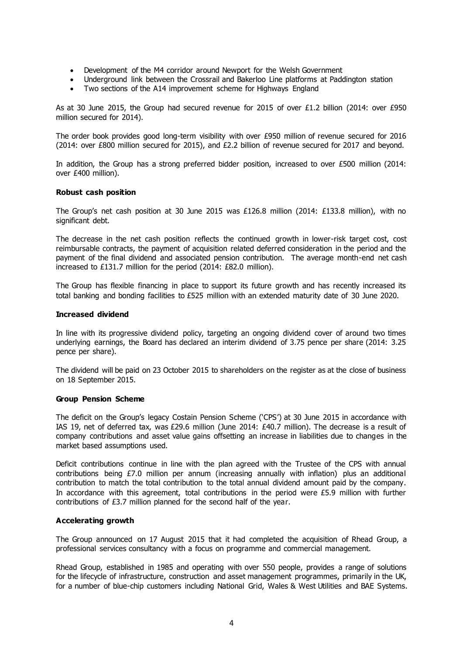- Development of the M4 corridor around Newport for the Welsh Government
- Underground link between the Crossrail and Bakerloo Line platforms at Paddington station
- Two sections of the A14 improvement scheme for Highways England

As at 30 June 2015, the Group had secured revenue for 2015 of over £1.2 billion (2014: over £950 million secured for 2014).

The order book provides good long-term visibility with over £950 million of revenue secured for 2016 (2014: over £800 million secured for 2015), and £2.2 billion of revenue secured for 2017 and beyond.

In addition, the Group has a strong preferred bidder position, increased to over £500 million (2014: over £400 million).

## **Robust cash position**

The Group's net cash position at 30 June 2015 was £126.8 million (2014: £133.8 million), with no significant debt.

The decrease in the net cash position reflects the continued growth in lower-risk target cost, cost reimbursable contracts, the payment of acquisition related deferred consideration in the period and the payment of the final dividend and associated pension contribution. The average month-end net cash increased to £131.7 million for the period (2014: £82.0 million).

The Group has flexible financing in place to support its future growth and has recently increased its total banking and bonding facilities to £525 million with an extended maturity date of 30 June 2020.

## **Increased dividend**

In line with its progressive dividend policy, targeting an ongoing dividend cover of around two times underlying earnings, the Board has declared an interim dividend of 3.75 pence per share (2014: 3.25 pence per share).

The dividend will be paid on 23 October 2015 to shareholders on the register as at the close of business on 18 September 2015.

## **Group Pension Scheme**

The deficit on the Group's legacy Costain Pension Scheme ('CPS') at 30 June 2015 in accordance with IAS 19, net of deferred tax, was £29.6 million (June 2014: £40.7 million). The decrease is a result of company contributions and asset value gains offsetting an increase in liabilities due to changes in the market based assumptions used.

Deficit contributions continue in line with the plan agreed with the Trustee of the CPS with annual contributions being £7.0 million per annum (increasing annually with inflation) plus an additional contribution to match the total contribution to the total annual dividend amount paid by the company. In accordance with this agreement, total contributions in the period were £5.9 million with further contributions of £3.7 million planned for the second half of the year.

## **Accelerating growth**

The Group announced on 17 August 2015 that it had completed the acquisition of Rhead Group, a professional services consultancy with a focus on programme and commercial management.

Rhead Group, established in 1985 and operating with over 550 people, provides a range of solutions for the lifecycle of infrastructure, construction and asset management programmes, primarily in the UK, for a number of blue-chip customers including National Grid, Wales & West Utilities and BAE Systems.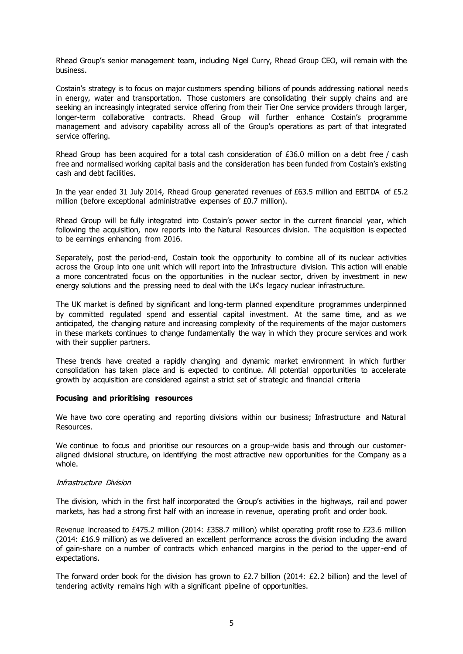Rhead Group's senior management team, including Nigel Curry, Rhead Group CEO, will remain with the business.

Costain's strategy is to focus on major customers spending billions of pounds addressing national needs in energy, water and transportation. Those customers are consolidating their supply chains and are seeking an increasingly integrated service offering from their Tier One service providers through larger, longer-term collaborative contracts. Rhead Group will further enhance Costain's programme management and advisory capability across all of the Group's operations as part of that integrated service offering.

Rhead Group has been acquired for a total cash consideration of £36.0 million on a debt free / cash free and normalised working capital basis and the consideration has been funded from Costain's existing cash and debt facilities.

In the year ended 31 July 2014, Rhead Group generated revenues of £63.5 million and EBITDA of £5.2 million (before exceptional administrative expenses of £0.7 million).

Rhead Group will be fully integrated into Costain's power sector in the current financial year, which following the acquisition, now reports into the Natural Resources division. The acquisition is expected to be earnings enhancing from 2016.

Separately, post the period-end, Costain took the opportunity to combine all of its nuclear activities across the Group into one unit which will report into the Infrastructure division. This action will enable a more concentrated focus on the opportunities in the nuclear sector, driven by investment in new energy solutions and the pressing need to deal with the UK's legacy nuclear infrastructure.

The UK market is defined by significant and long-term planned expenditure programmes underpinned by committed regulated spend and essential capital investment. At the same time, and as we anticipated, the changing nature and increasing complexity of the requirements of the major customers in these markets continues to change fundamentally the way in which they procure services and work with their supplier partners.

These trends have created a rapidly changing and dynamic market environment in which further consolidation has taken place and is expected to continue. All potential opportunities to accelerate growth by acquisition are considered against a strict set of strategic and financial criteria

## **Focusing and prioritising resources**

We have two core operating and reporting divisions within our business; Infrastructure and Natural Resources.

We continue to focus and prioritise our resources on a group-wide basis and through our customeraligned divisional structure, on identifying the most attractive new opportunities for the Company as a whole.

## Infrastructure Division

The division, which in the first half incorporated the Group's activities in the highways, rail and power markets, has had a strong first half with an increase in revenue, operating profit and order book.

Revenue increased to £475.2 million (2014: £358.7 million) whilst operating profit rose to £23.6 million (2014: £16.9 million) as we delivered an excellent performance across the division including the award of gain-share on a number of contracts which enhanced margins in the period to the upper-end of expectations.

The forward order book for the division has grown to £2.7 billion (2014: £2.2 billion) and the level of tendering activity remains high with a significant pipeline of opportunities.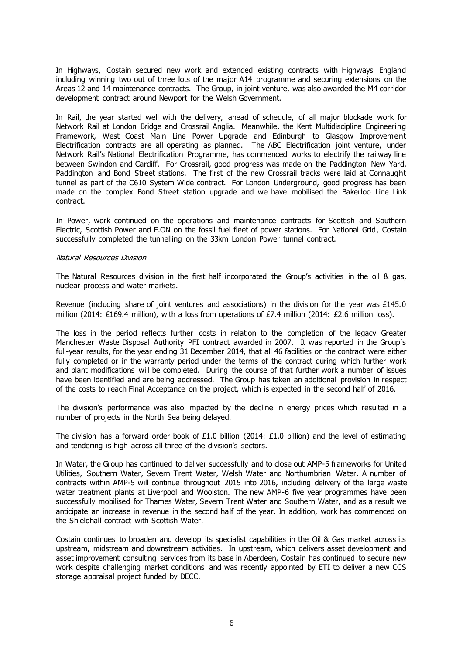In Highways, Costain secured new work and extended existing contracts with Highways England including winning two out of three lots of the major A14 programme and securing extensions on the Areas 12 and 14 maintenance contracts. The Group, in joint venture, was also awarded the M4 corridor development contract around Newport for the Welsh Government.

In Rail, the year started well with the delivery, ahead of schedule, of all major blockade work for Network Rail at London Bridge and Crossrail Anglia. Meanwhile, the Kent Multidiscipline Engineering Framework, West Coast Main Line Power Upgrade and Edinburgh to Glasgow Improvement Electrification contracts are all operating as planned. The ABC Electrification joint venture, under Network Rail's National Electrification Programme, has commenced works to electrify the railway line between Swindon and Cardiff. For Crossrail, good progress was made on the Paddington New Yard, Paddington and Bond Street stations. The first of the new Crossrail tracks were laid at Connaught tunnel as part of the C610 System Wide contract. For London Underground, good progress has been made on the complex Bond Street station upgrade and we have mobilised the Bakerloo Line Link contract.

In Power, work continued on the operations and maintenance contracts for Scottish and Southern Electric, Scottish Power and E.ON on the fossil fuel fleet of power stations. For National Grid, Costain successfully completed the tunnelling on the 33km London Power tunnel contract.

## Natural Resources Division

The Natural Resources division in the first half incorporated the Group's activities in the oil & gas, nuclear process and water markets.

Revenue (including share of joint ventures and associations) in the division for the year was £145.0 million (2014: £169.4 million), with a loss from operations of £7.4 million (2014: £2.6 million loss).

The loss in the period reflects further costs in relation to the completion of the legacy Greater Manchester Waste Disposal Authority PFI contract awarded in 2007. It was reported in the Group's full-year results, for the year ending 31 December 2014, that all 46 facilities on the contract were either fully completed or in the warranty period under the terms of the contract during which further work and plant modifications will be completed. During the course of that further work a number of issues have been identified and are being addressed. The Group has taken an additional provision in respect of the costs to reach Final Acceptance on the project, which is expected in the second half of 2016.

The division's performance was also impacted by the decline in energy prices which resulted in a number of projects in the North Sea being delayed.

The division has a forward order book of £1.0 billion (2014: £1.0 billion) and the level of estimating and tendering is high across all three of the division's sectors.

In Water, the Group has continued to deliver successfully and to close out AMP-5 frameworks for United Utilities, Southern Water, Severn Trent Water, Welsh Water and Northumbrian Water. A number of contracts within AMP-5 will continue throughout 2015 into 2016, including delivery of the large waste water treatment plants at Liverpool and Woolston. The new AMP-6 five year programmes have been successfully mobilised for Thames Water, Severn Trent Water and Southern Water, and as a result we anticipate an increase in revenue in the second half of the year. In addition, work has commenced on the Shieldhall contract with Scottish Water.

Costain continues to broaden and develop its specialist capabilities in the Oil & Gas market across its upstream, midstream and downstream activities. In upstream, which delivers asset development and asset improvement consulting services from its base in Aberdeen, Costain has continued to secure new work despite challenging market conditions and was recently appointed by ETI to deliver a new CCS storage appraisal project funded by DECC.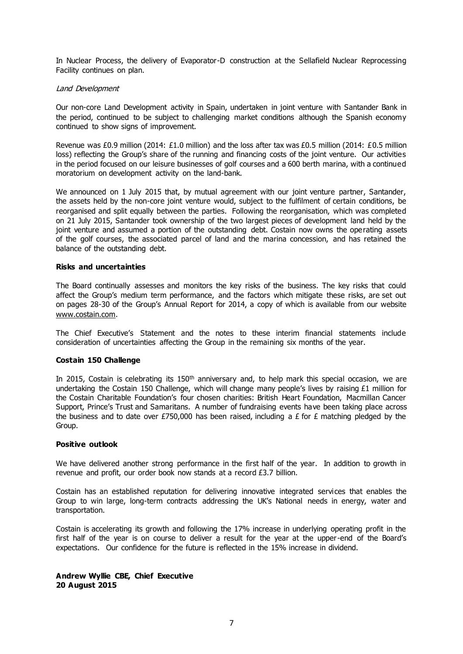In Nuclear Process, the delivery of Evaporator-D construction at the Sellafield Nuclear Reprocessing Facility continues on plan.

## Land Development

Our non-core Land Development activity in Spain, undertaken in joint venture with Santander Bank in the period, continued to be subject to challenging market conditions although the Spanish economy continued to show signs of improvement.

Revenue was £0.9 million (2014: £1.0 million) and the loss after tax was £0.5 million (2014: £0.5 million loss) reflecting the Group's share of the running and financing costs of the joint venture. Our activities in the period focused on our leisure businesses of golf courses and a 600 berth marina, with a continued moratorium on development activity on the land-bank.

We announced on 1 July 2015 that, by mutual agreement with our joint venture partner, Santander, the assets held by the non-core joint venture would, subject to the fulfilment of certain conditions, be reorganised and split equally between the parties. Following the reorganisation, which was completed on 21 July 2015, Santander took ownership of the two largest pieces of development land held by the joint venture and assumed a portion of the outstanding debt. Costain now owns the operating assets of the golf courses, the associated parcel of land and the marina concession, and has retained the balance of the outstanding debt.

## **Risks and uncertainties**

The Board continually assesses and monitors the key risks of the business. The key risks that could affect the Group's medium term performance, and the factors which mitigate these risks, are set out on pages 28-30 of the Group's Annual Report for 2014, a copy of which is available from our website [www.costain.com.](http://www.costain.com/)

The Chief Executive's Statement and the notes to these interim financial statements include consideration of uncertainties affecting the Group in the remaining six months of the year.

## **Costain 150 Challenge**

In 2015, Costain is celebrating its  $150<sup>th</sup>$  anniversary and, to help mark this special occasion, we are undertaking the Costain 150 Challenge, which will change many people's lives by raising £1 million for the Costain Charitable Foundation's four chosen charities: British Heart Foundation, Macmillan Cancer Support, Prince's Trust and Samaritans. A number of fundraising events have been taking place across the business and to date over £750,000 has been raised, including a £ for  $\epsilon$  matching pledged by the Group.

## **Positive outlook**

We have delivered another strong performance in the first half of the year. In addition to growth in revenue and profit, our order book now stands at a record £3.7 billion.

Costain has an established reputation for delivering innovative integrated services that enables the Group to win large, long-term contracts addressing the UK's National needs in energy, water and transportation.

Costain is accelerating its growth and following the 17% increase in underlying operating profit in the first half of the year is on course to deliver a result for the year at the upper-end of the Board's expectations. Our confidence for the future is reflected in the 15% increase in dividend.

## **Andrew Wyllie CBE, Chief Executive 20 August 2015**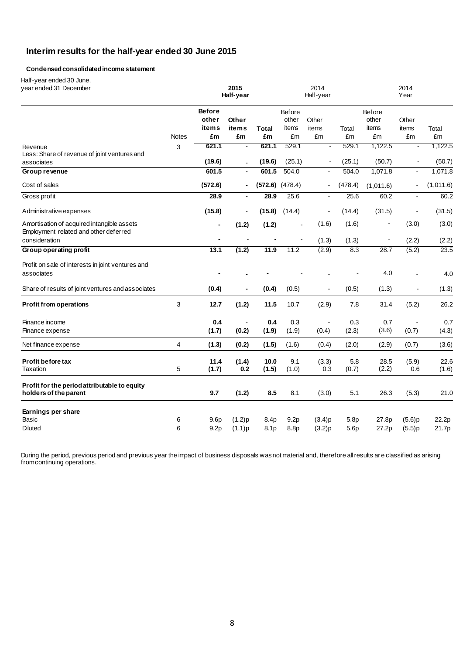## **Interim results for the half-year ended 30 June 2015**

## **Condensedconsolidatedincome statement**

Half-year ended 30 June,

| ι ιαιι γνται σπυσυ συ συπισ<br>year ended 31 December                               |              |                                      | 2015<br>Half-year |               |                          | 2014<br>Half-year |                                      |                                 | 2014<br>Year             |                |
|-------------------------------------------------------------------------------------|--------------|--------------------------------------|-------------------|---------------|--------------------------|-------------------|--------------------------------------|---------------------------------|--------------------------|----------------|
|                                                                                     |              | <b>Before</b><br>other<br>items      | Other<br>items    | Total         | Before<br>other<br>items | Other<br>items    | Total                                | <b>Before</b><br>other<br>items | Other<br>items           | Total          |
|                                                                                     | <b>Notes</b> | £m                                   | £m                | £m            | £m                       | £m                | £m                                   | £m                              | £m                       | £m             |
| Revenue<br>Less: Share of revenue of joint ventures and                             | 3            | 621.1                                | $\blacksquare$    | 621.1         | 529.1                    |                   | 529.1                                | 1,122.5                         |                          | 1,122.5        |
| associates                                                                          |              | (19.6)                               | $\blacksquare$    | (19.6)        | (25.1)                   |                   | (25.1)                               | (50.7)                          |                          | (50.7)         |
| Group revenue                                                                       |              | 601.5                                |                   | 601.5         | 504.0                    |                   | 504.0                                | 1,071.8                         |                          | 1,071.8        |
| Cost of sales                                                                       |              | (572.6)                              |                   |               | $(572.6)$ $(478.4)$      | $\blacksquare$    | (478.4)                              | (1,011.6)                       | $\overline{a}$           | (1,011.6)      |
| Gross profit                                                                        |              | 28.9                                 | $\blacksquare$    | 28.9          | 25.6                     | $\blacksquare$    | 25.6                                 | 60.2                            | $\blacksquare$           | 60.2           |
| Administrative expenses                                                             |              | (15.8)                               | $\blacksquare$    | (15.8)        | (14.4)                   |                   | (14.4)                               | (31.5)                          | $\overline{\phantom{a}}$ | (31.5)         |
| Amortisation of acquired intangible assets<br>Employment related and other deferred |              | $\blacksquare$                       | (1.2)             | (1.2)         | $\blacksquare$           | (1.6)             | (1.6)                                |                                 | (3.0)                    | (3.0)          |
| consideration                                                                       |              |                                      |                   |               |                          | (1.3)             | (1.3)                                |                                 | (2.2)                    | (2.2)          |
| Group operating profit                                                              |              | 13.1                                 | (1.2)             | 11.9          | 11.2                     | (2.9)             | 8.3                                  | 28.7                            | (5.2)                    | 23.5           |
| Profit on sale of interests in joint ventures and<br>associates                     |              |                                      |                   |               |                          |                   |                                      | 4.0                             |                          | 4.0            |
| Share of results of joint ventures and associates                                   |              | (0.4)                                |                   | (0.4)         | (0.5)                    |                   | (0.5)                                | (1.3)                           |                          | (1.3)          |
| Profit from operations                                                              | 3            | 12.7                                 | (1.2)             | 11.5          | 10.7                     | (2.9)             | 7.8                                  | 31.4                            | (5.2)                    | 26.2           |
| Finance income<br>Finance expense                                                   |              | 0.4<br>(1.7)                         | (0.2)             | 0.4<br>(1.9)  | 0.3<br>(1.9)             | (0.4)             | 0.3<br>(2.3)                         | 0.7<br>(3.6)                    | (0.7)                    | 0.7<br>(4.3)   |
| Net finance expense                                                                 | 4            | (1.3)                                | (0.2)             | (1.5)         | (1.6)                    | (0.4)             | (2.0)                                | (2.9)                           | (0.7)                    | (3.6)          |
| Profit before tax<br><b>Taxation</b>                                                | $\,$ 5 $\,$  | 11.4<br>(1.7)                        | (1.4)<br>0.2      | 10.0<br>(1.5) | 9.1<br>(1.0)             | (3.3)<br>0.3      | 5.8<br>(0.7)                         | 28.5<br>(2.2)                   | (5.9)<br>0.6             | 22.6<br>(1.6)  |
| Profit for the period attributable to equity<br>holders of the parent               |              | 9.7                                  | (1.2)             | 8.5           | 8.1                      | (3.0)             | 5.1                                  | 26.3                            | (5.3)                    | 21.0           |
| Earnings per share                                                                  |              |                                      |                   |               |                          |                   |                                      |                                 |                          |                |
| Basic<br><b>Diluted</b>                                                             | 6<br>6       | 9.6 <sub>p</sub><br>9.2 <sub>p</sub> | (1.2)p<br>(1.1)p  | 8.4p<br>8.1p  | 9.2 <sub>p</sub><br>8.8p | (3.4)p<br>(3.2)p  | 5.8 <sub>p</sub><br>5.6 <sub>p</sub> | 27.8p<br>27.2p                  | (5.6)p<br>(5.5)p         | 22.2p<br>21.7p |

During the period, previous period and previous year the impact of business disposals was not material and, therefore all results ar e classified as arising from continuing operations.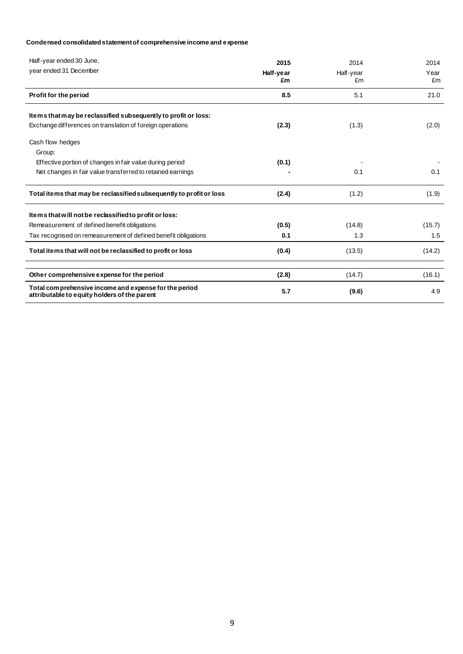## **Condensed consolidated statement of comprehensive income and expense**

| Half-year ended 30 June,<br>year ended 31 December                                                    | 2015<br>Half-year<br>£m | 2014<br>Half-year<br>£m | 2014<br>Year<br>£m |
|-------------------------------------------------------------------------------------------------------|-------------------------|-------------------------|--------------------|
| Profit for the period                                                                                 | 8.5                     | 5.1                     | 21.0               |
| Items that may be reclassified subsequently to profit or loss:                                        |                         |                         |                    |
| Exchange differences on translation of foreign operations                                             | (2.3)                   | (1.3)                   | (2.0)              |
| Cash flow hedges<br>Group:                                                                            |                         |                         |                    |
| Effective portion of changes in fair value during period                                              | (0.1)                   |                         |                    |
| Net changes in fair value transferred to retained earnings                                            |                         | 0.1                     | 0.1                |
| Total items that may be reclassified subsequently to profit or loss                                   | (2.4)                   | (1.2)                   | (1.9)              |
| Items that will not be reclassified to profit or loss:                                                |                         |                         |                    |
| Remeasurement of defined benefit obligations                                                          | (0.5)                   | (14.8)                  | (15.7)             |
| Tax recognised on remeasurement of defined benefit obligations                                        | 0.1                     | 1.3                     | 1.5                |
| Total items that will not be reclassified to profit or loss                                           | (0.4)                   | (13.5)                  | (14.2)             |
| Other comprehensive expense for the period                                                            | (2.8)                   | (14.7)                  | (16.1)             |
| Total comprehensive income and expense for the period<br>attributable to equity holders of the parent | 5.7                     | (9.6)                   | 4.9                |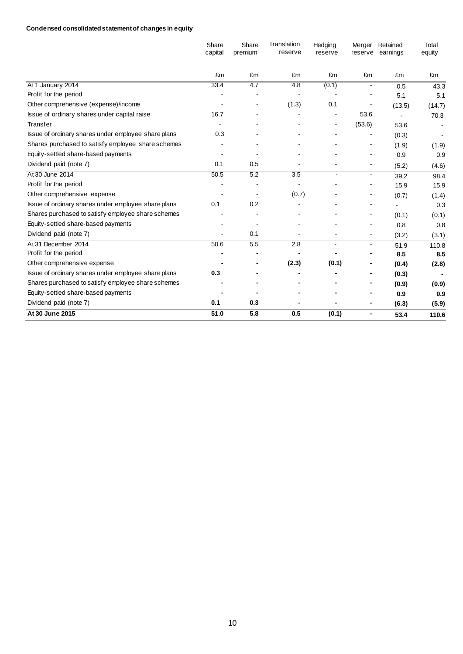## **Condensed consolidated statement of changes in equity**

|                                                     | Share<br>capital | Share<br>premium | Translation<br>reserve | Hedging<br>reserve | Merger<br>reserve | Retained<br>earnings | Total<br>equity |
|-----------------------------------------------------|------------------|------------------|------------------------|--------------------|-------------------|----------------------|-----------------|
|                                                     | £m               | £m               | £m                     | £m                 | £m                | £m                   | £m              |
| At 1 January 2014                                   | 33.4             | 4.7              | $\overline{4.8}$       | (0.1)              | $\blacksquare$    | 0.5                  | 43.3            |
| Profit for the period                               |                  |                  |                        |                    |                   | 5.1                  | 5.1             |
| Other comprehensive (expense)/income                |                  |                  | (1.3)                  | 0.1                |                   | (13.5)               | (14.7)          |
| Issue of ordinary shares under capital raise        | 16.7             |                  |                        | $\blacksquare$     | 53.6              | $\blacksquare$       | 70.3            |
| Transfer                                            |                  |                  |                        | $\blacksquare$     | (53.6)            | 53.6                 |                 |
| Issue of ordinary shares under employee share plans | 0.3              |                  |                        |                    |                   | (0.3)                |                 |
| Shares purchased to satisfy employee share schemes  |                  |                  |                        |                    |                   | (1.9)                | (1.9)           |
| Equity-settled share-based payments                 |                  |                  |                        |                    |                   | 0.9                  | 0.9             |
| Dividend paid (note 7)                              | 0.1              | 0.5              |                        |                    |                   | (5.2)                | (4.6)           |
| At 30 June 2014                                     | 50.5             | 5.2              | 3.5                    | $\blacksquare$     | $\blacksquare$    | 39.2                 | 98.4            |
| Profit for the period                               |                  |                  |                        |                    |                   | 15.9                 | 15.9            |
| Other comprehensive expense                         |                  |                  | (0.7)                  |                    |                   | (0.7)                | (1.4)           |
| Issue of ordinary shares under employee share plans | 0.1              | 0.2              |                        |                    |                   | $\blacksquare$       | 0.3             |
| Shares purchased to satisfy employee share schemes  |                  |                  |                        |                    |                   | (0.1)                | (0.1)           |
| Equity-settled share-based payments                 |                  |                  |                        |                    |                   | 0.8                  | 0.8             |
| Dividend paid (note 7)                              | $\overline{a}$   | 0.1              |                        |                    | $\blacksquare$    | (3.2)                | (3.1)           |
| At 31 December 2014                                 | 50.6             | 5.5              | 2.8                    |                    | $\blacksquare$    | 51.9                 | 110.8           |
| Profit for the period                               |                  |                  |                        |                    |                   | 8.5                  | 8.5             |
| Other comprehensive expense                         |                  |                  | (2.3)                  | (0.1)              |                   | (0.4)                | (2.8)           |
| Issue of ordinary shares under employee share plans | 0.3              |                  |                        |                    |                   | (0.3)                |                 |
| Shares purchased to satisfy employee share schemes  |                  |                  |                        |                    |                   | (0.9)                | (0.9)           |
| Equity-settled share-based payments                 |                  |                  |                        |                    |                   | 0.9                  | 0.9             |
| Dividend paid (note 7)                              | 0.1              | 0.3              |                        | ٠                  | $\blacksquare$    | (6.3)                | (5.9)           |
| At 30 June 2015                                     | 51.0             | 5.8              | 0.5                    | (0.1)              | $\blacksquare$    | 53.4                 | 110.6           |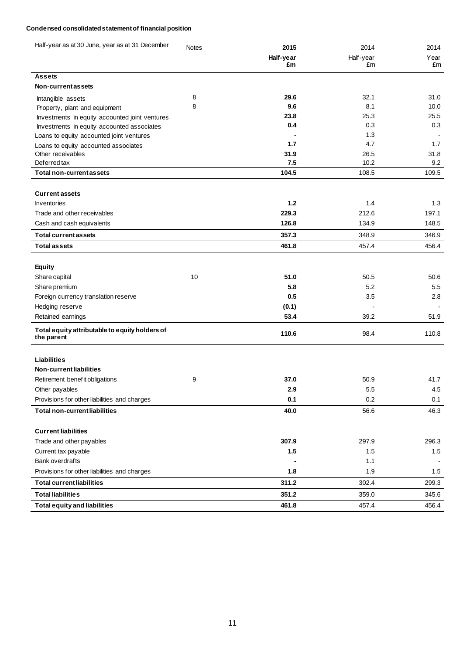## **Condensed consolidated statement of financial position**

| Half-year as at 30 June, year as at 31 December              | <b>Notes</b> | 2015      | 2014      | 2014  |
|--------------------------------------------------------------|--------------|-----------|-----------|-------|
|                                                              |              | Half-year | Half-year | Year  |
|                                                              |              | £m        | £m        | £m    |
| Assets                                                       |              |           |           |       |
| Non-current as sets                                          |              |           |           |       |
| Intangible assets                                            | 8            | 29.6      | 32.1      | 31.0  |
| Property, plant and equipment                                | 8            | 9.6       | 8.1       | 10.0  |
| Investments in equity accounted joint ventures               |              | 23.8      | 25.3      | 25.5  |
| Investments in equity accounted associates                   |              | 0.4       | 0.3       | 0.3   |
| Loans to equity accounted joint ventures                     |              |           | 1.3       |       |
| Loans to equity accounted associates                         |              | 1.7       | 4.7       | 1.7   |
| Other receivables                                            |              | 31.9      | 26.5      | 31.8  |
| Deferred tax                                                 |              | 7.5       | 10.2      | 9.2   |
| Total non-current as sets                                    |              | 104.5     | 108.5     | 109.5 |
|                                                              |              |           |           |       |
| <b>Current assets</b>                                        |              |           |           |       |
| <b>Inventories</b>                                           |              | 1.2       | 1.4       | 1.3   |
| Trade and other receivables                                  |              | 229.3     | 212.6     | 197.1 |
| Cash and cash equivalents                                    |              | 126.8     | 134.9     | 148.5 |
| <b>Total current as sets</b>                                 |              | 357.3     | 348.9     | 346.9 |
| <b>Total assets</b>                                          |              | 461.8     | 457.4     | 456.4 |
|                                                              |              |           |           |       |
| <b>Equity</b>                                                |              |           |           |       |
| Share capital                                                | 10           | 51.0      | 50.5      | 50.6  |
| Share premium                                                |              | 5.8       | 5.2       | 5.5   |
| Foreign currency translation reserve                         |              | 0.5       | 3.5       | 2.8   |
| Hedging reserve                                              |              | (0.1)     |           |       |
| Retained earnings                                            |              | 53.4      | 39.2      | 51.9  |
| Total equity attributable to equity holders of<br>the parent |              | 110.6     | 98.4      | 110.8 |
|                                                              |              |           |           |       |
| Liabilities                                                  |              |           |           |       |
| Non-currentliabilities                                       |              |           |           |       |
| Retirement benefit obligations                               | 9            | 37.0      | 50.9      | 41.7  |
| Other payables                                               |              | 2.9       | 5.5       | 4.5   |
| Provisions for other liabilities and charges                 |              | 0.1       | 0.2       | 0.1   |
| <b>Total non-current liabilities</b>                         |              | 40.0      | 56.6      | 46.3  |
| <b>Current liabilities</b>                                   |              |           |           |       |
| Trade and other payables                                     |              | 307.9     | 297.9     | 296.3 |
| Current tax payable                                          |              | 1.5       | 1.5       | 1.5   |
| <b>Bank overdrafts</b>                                       |              |           |           |       |
|                                                              |              |           | 1.1       |       |
| Provisions for other liabilities and charges                 |              | 1.8       | 1.9       | 1.5   |
| <b>Total current liabilities</b>                             |              | 311.2     | 302.4     | 299.3 |
| <b>Total liabilities</b>                                     |              | 351.2     | 359.0     | 345.6 |
| <b>Total equity and liabilities</b>                          |              | 461.8     | 457.4     | 456.4 |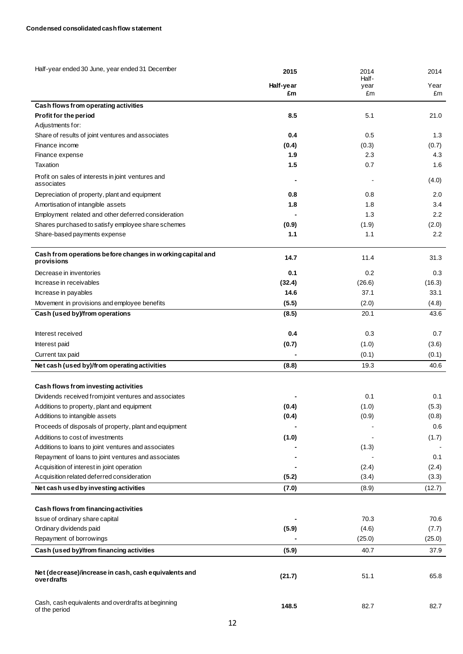| Half-year ended 30 June, year ended 31 December                          | 2015            | 2014<br>Half- | 2014       |
|--------------------------------------------------------------------------|-----------------|---------------|------------|
|                                                                          | Half-year<br>£m | year<br>£m    | Year<br>£m |
| Cash flows from operating activities                                     |                 |               |            |
| Profit for the period                                                    | 8.5             | 5.1           | 21.0       |
| Adjustments for:                                                         |                 |               |            |
| Share of results of joint ventures and associates                        | 0.4             | 0.5           | 1.3        |
| Finance income                                                           | (0.4)           | (0.3)         | (0.7)      |
| Finance expense                                                          | 1.9             | 2.3           | 4.3        |
| Taxation                                                                 | 1.5             | 0.7           | 1.6        |
| Profit on sales of interests in joint ventures and<br>associates         |                 |               | (4.0)      |
| Depreciation of property, plant and equipment                            | 0.8             | 0.8           | 2.0        |
| Amortisation of intangible assets                                        | 1.8             | 1.8           | 3.4        |
| Employment related and other deferred consideration                      |                 | 1.3           | 2.2        |
| Shares purchased to satisfy employee share schemes                       | (0.9)           | (1.9)         | (2.0)      |
| Share-based payments expense                                             | 1.1             | 1.1           | 2.2        |
| Cash from operations before changes in working capital and<br>provisions | 14.7            | 11.4          | 31.3       |
| Decrease in inventories                                                  | 0.1             | 0.2           | 0.3        |
| Increase in receivables                                                  | (32.4)          | (26.6)        | (16.3)     |
| Increase in payables                                                     | 14.6            | 37.1          | 33.1       |
| Movement in provisions and employee benefits                             | (5.5)           | (2.0)         | (4.8)      |
| Cash (used by)/from operations                                           | (8.5)           | 20.1          | 43.6       |
| Interest received                                                        | 0.4             | 0.3           | 0.7        |
| Interest paid                                                            | (0.7)           | (1.0)         | (3.6)      |
| Current tax paid                                                         |                 | (0.1)         | (0.1)      |
| Net cash (used by)/from operating activities                             | (8.8)           | 19.3          | 40.6       |
| Cash flows from investing activities                                     |                 |               |            |
| Dividends received from joint ventures and associates                    |                 | 0.1           | 0.1        |
| Additions to property, plant and equipment                               | (0.4)           | (1.0)         | (5.3)      |
| Additions to intangible assets                                           | (0.4)           | (0.9)         | (0.8)      |
| Proceeds of disposals of property, plant and equipment                   |                 |               | 0.6        |
| Additions to cost of investments                                         | (1.0)           |               | (1.7)      |
| Additions to loans to joint ventures and associates                      |                 | (1.3)         |            |
| Repayment of loans to joint ventures and associates                      |                 |               | 0.1        |
| Acquisition of interest in joint operation                               |                 | (2.4)         | (2.4)      |
| Acquisition related deferred consideration                               | (5.2)           | (3.4)         | (3.3)      |
| Net cash used by investing activities                                    | (7.0)           | (8.9)         | (12.7)     |
| Cash flows from financing activities                                     |                 |               |            |
| Issue of ordinary share capital                                          |                 | 70.3          | 70.6       |
| Ordinary dividends paid                                                  | (5.9)           | (4.6)         | (7.7)      |
| Repayment of borrowings                                                  |                 | (25.0)        | (25.0)     |
| Cash (used by)/from financing activities                                 | (5.9)           | 40.7          | 37.9       |
| Net (decrease)/increase in cash, cash equivalents and<br>overdrafts      | (21.7)          | 51.1          | 65.8       |
| Cash, cash equivalents and overdrafts at beginning<br>of the period      | 148.5           | 82.7          | 82.7       |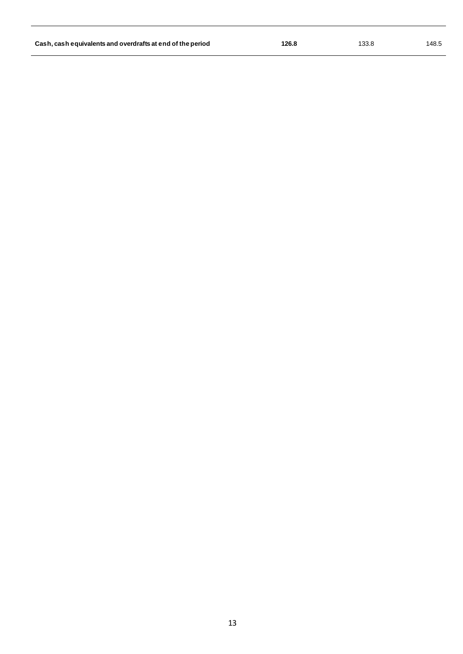| Cash, cash equivalents and overdrafts at end of the period | 126.8 | 133.8 | 148.5 |
|------------------------------------------------------------|-------|-------|-------|
|                                                            |       |       |       |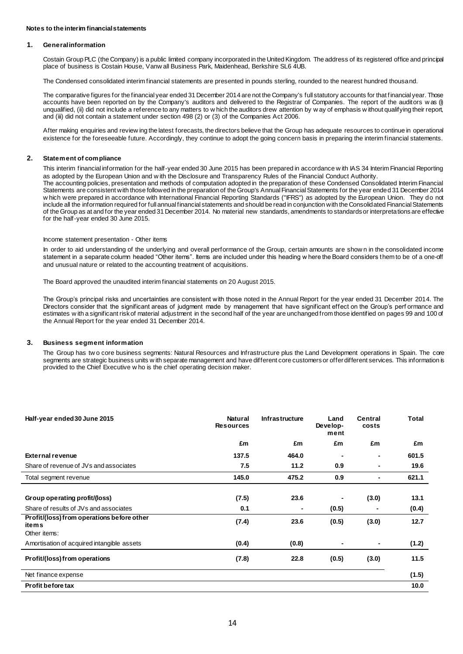#### **1. Generalinformation**

Costain Group PLC (the Company) is a public limited company incorporated in the United Kingdom. The address of its registered office and principal place of business is Costain House, Vanw all Business Park, Maidenhead, Berkshire SL6 4UB.

The Condensed consolidated interim financial statements are presented in pounds sterling, rounded to the nearest hundred thousand.

The comparative figures for the financial year ended 31 December 2014 are not the Company's full statutory accounts for that financial year. Those accounts have been reported on by the Company's auditors and delivered to the Registrar of Companies. The report of the auditors w as (i) unqualified, (ii) did not include a reference to any matters to w hich the auditors drew attention by w ay of emphasis w ithout qualifying their report, and (iii) did not contain a statement under section 498 (2) or (3) of the Companies Act 2006.

After making enquiries and review ing the latest forecasts, the directors believe that the Group has adequate resources to continue in operational existence for the foreseeable future. Accordingly, they continue to adopt the going concern basis in preparing the interim financial statements.

#### **2. Statement of compliance**

This interim financial information for the half-year ended 30 June 2015 has been prepared in accordance w ith IAS 34 Interim Financial Reporting as adopted by the European Union and w ith the Disclosure and Transparency Rules of the Financial Conduct Authority. The accounting policies, presentation and methods of computation adopted in the preparation of these Condensed Consolidated Interim Financial Statements are consistent with those followed in the preparation of the Group's Annual Financial Statements for the year ended 31 December 2014 w hich were prepared in accordance with International Financial Reporting Standards ("IFRS") as adopted by the European Union. They do not include all the information required for full annual financial statements and should be read in conjunction with the Consolidated Financial Statements of the Group as at and for the year ended 31 December 2014. No material new standards, amendments to standards or interpretations are effective for the half-year ended 30 June 2015.

#### Income statement presentation - Other items

In order to aid understanding of the underlying and overall performance of the Group, certain amounts are show n in the consolidated income statement in a separate column headed "Other items". Items are included under this heading w here the Board considers them to be of a one-off and unusual nature or related to the accounting treatment of acquisitions.

The Board approved the unaudited interim financial statements on 20 August 2015.

The Group's principal risks and uncertainties are consistent with those noted in the Annual Report for the year ended 31 December 2014. The Directors consider that the significant areas of judgment made by management that have significant effect on the Group's perf ormance and estimates w ith a significant risk of material adjustment in the second half of the year are unchanged from those identified on pages 99 and 100 of the Annual Report for the year ended 31 December 2014.

#### **3. Business segment information**

The Group has tw o core business segments: Natural Resources and Infrastructure plus the Land Development operations in Spain. The core segments are strategic business units w ith separate management and have different core customers or offer different services. This information is provided to the Chief Executive w ho is the chief operating decision maker.

| Half-year ended 30 June 2015                                        | <b>Natural</b><br><b>Resources</b> | <b>Infrastructure</b> | Land<br>Develop-<br>ment | Central<br>costs | Total |
|---------------------------------------------------------------------|------------------------------------|-----------------------|--------------------------|------------------|-------|
|                                                                     | £m                                 | £m                    | £m                       | £m               | £m    |
| <b>External revenue</b>                                             | 137.5                              | 464.0                 |                          | ۰                | 601.5 |
| Share of revenue of JVs and associates                              | 7.5                                | 11.2                  | 0.9                      | ۰                | 19.6  |
| Total segment revenue                                               | 145.0                              | 475.2                 | 0.9                      | ٠                | 621.1 |
|                                                                     |                                    |                       |                          |                  |       |
| Group operating profit/(loss)                                       | (7.5)                              | 23.6                  |                          | (3.0)            | 13.1  |
| Share of results of JVs and associates                              | 0.1                                | $\blacksquare$        | (0.5)                    | ٠                | (0.4) |
| Profit/(loss) from operations before other<br>items<br>Other items: | (7.4)                              | 23.6                  | (0.5)                    | (3.0)            | 12.7  |
| Amortisation of acquired intangible assets                          | (0.4)                              | (0.8)                 |                          | ٠                | (1.2) |
|                                                                     |                                    |                       |                          |                  |       |
| Profit/(loss) from operations                                       | (7.8)                              | 22.8                  | (0.5)                    | (3.0)            | 11.5  |
| Net finance expense                                                 |                                    |                       |                          |                  | (1.5) |
| Profit before tax                                                   |                                    |                       |                          |                  | 10.0  |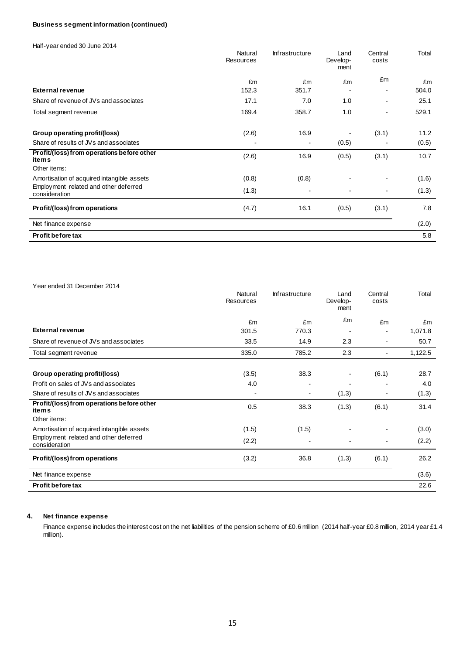## **Business segment information (continued)**

Half-year ended 30 June 2014

|                                                        | Natural<br><b>Resources</b> | Infrastructure | Land<br>Develop-<br>ment | Central<br>costs | Total |
|--------------------------------------------------------|-----------------------------|----------------|--------------------------|------------------|-------|
|                                                        | £m                          | £m             | £m                       | £m               | £m    |
| <b>External revenue</b>                                | 152.3                       | 351.7          |                          |                  | 504.0 |
| Share of revenue of JVs and associates                 | 17.1                        | 7.0            | 1.0                      | $\blacksquare$   | 25.1  |
| Total segment revenue                                  | 169.4                       | 358.7          | 1.0                      |                  | 529.1 |
|                                                        |                             |                |                          |                  |       |
| Group operating profit/(loss)                          | (2.6)                       | 16.9           |                          | (3.1)            | 11.2  |
| Share of results of JVs and associates                 |                             |                | (0.5)                    |                  | (0.5) |
| Profit/(loss) from operations before other<br>items    | (2.6)                       | 16.9           | (0.5)                    | (3.1)            | 10.7  |
| Other items:                                           |                             |                |                          |                  |       |
| Amortisation of acquired intangible assets             | (0.8)                       | (0.8)          |                          |                  | (1.6) |
| Employment related and other deferred<br>consideration | (1.3)                       |                |                          | $\blacksquare$   | (1.3) |
| Profit/(loss) from operations                          | (4.7)                       | 16.1           | (0.5)                    | (3.1)            | 7.8   |
| Net finance expense                                    |                             |                |                          |                  | (2.0) |
| Profit before tax                                      |                             |                |                          |                  | 5.8   |

| Year ended 31 December 2014                            |                      |                       |                          |                          |         |
|--------------------------------------------------------|----------------------|-----------------------|--------------------------|--------------------------|---------|
|                                                        | Natural<br>Resources | <b>Infrastructure</b> | Land<br>Develop-<br>ment | Central<br>costs         | Total   |
|                                                        | £m                   | £m                    | £m                       | £m                       | £m      |
| <b>External revenue</b>                                | 301.5                | 770.3                 |                          |                          | 1,071.8 |
| Share of revenue of JVs and associates                 | 33.5                 | 14.9                  | 2.3                      |                          | 50.7    |
| Total segment revenue                                  | 335.0                | 785.2                 | 2.3                      | $\blacksquare$           | 1,122.5 |
|                                                        |                      |                       |                          |                          |         |
| <b>Group operating profit/(loss)</b>                   | (3.5)                | 38.3                  |                          | (6.1)                    | 28.7    |
| Profit on sales of JVs and associates                  | 4.0                  |                       |                          |                          | 4.0     |
| Share of results of JVs and associates                 |                      |                       | (1.3)                    | $\overline{\phantom{a}}$ | (1.3)   |
| Profit/(loss) from operations before other<br>items    | 0.5                  | 38.3                  | (1.3)                    | (6.1)                    | 31.4    |
| Other items:                                           |                      |                       |                          |                          |         |
| Amortisation of acquired intangible assets             | (1.5)                | (1.5)                 |                          |                          | (3.0)   |
| Employment related and other deferred<br>consideration | (2.2)                |                       |                          | $\overline{\phantom{a}}$ | (2.2)   |
| Profit/(loss) from operations                          | (3.2)                | 36.8                  | (1.3)                    | (6.1)                    | 26.2    |
| Net finance expense                                    |                      |                       |                          |                          | (3.6)   |
| <b>Profit before tax</b>                               |                      |                       |                          |                          | 22.6    |

## **4. Net finance expense**

Finance expense includes the interest cost on the net liabilities of the pension scheme of £0.6 million (2014 half-year £0.8 million, 2014 year £1.4 million).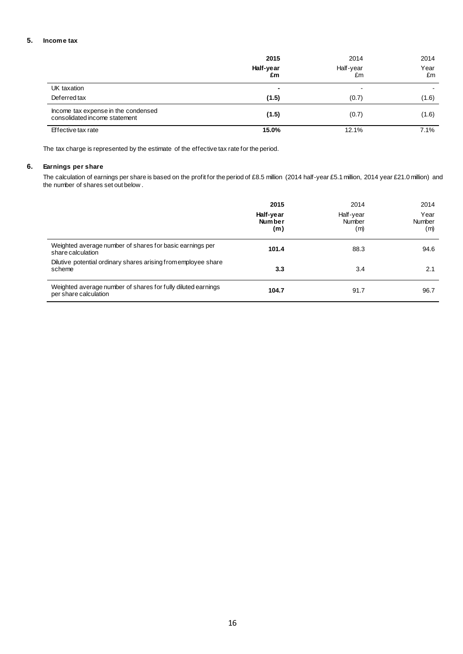## **5. Income tax**

|                                                                      | 2015<br>Half-year<br>£m | 2014<br>Half-year<br>£m | 2014<br>Year<br>£m |
|----------------------------------------------------------------------|-------------------------|-------------------------|--------------------|
| UK taxation                                                          | ٠                       |                         |                    |
| Deferred tax                                                         | (1.5)                   | (0.7)                   | (1.6)              |
| Income tax expense in the condensed<br>consolidated income statement | (1.5)                   | (0.7)                   | (1.6)              |
| Effective tax rate                                                   | 15.0%                   | 12.1%                   | 7.1%               |

The tax charge is represented by the estimate of the effective tax rate for the period.

## **6. Earnings per share**

The calculation of earnings per share is based on the profit for the period of £8.5 million (2014 half-year £5.1 million, 2014 year £21.0 million) and the number of shares set out below .

|                                                                                       | 2015<br>Half-year<br><b>Number</b><br>(m) | 2014<br>Half-year<br>Number<br>(m) | 2014<br>Year<br>Number<br>(m) |
|---------------------------------------------------------------------------------------|-------------------------------------------|------------------------------------|-------------------------------|
| Weighted average number of shares for basic earnings per<br>share calculation         | 101.4                                     | 88.3                               | 94.6                          |
| Dilutive potential ordinary shares arising from employee share<br>scheme              | 3.3                                       | 3.4                                | 2.1                           |
| Weighted average number of shares for fully diluted earnings<br>per share calculation | 104.7                                     | 91.7                               | 96.7                          |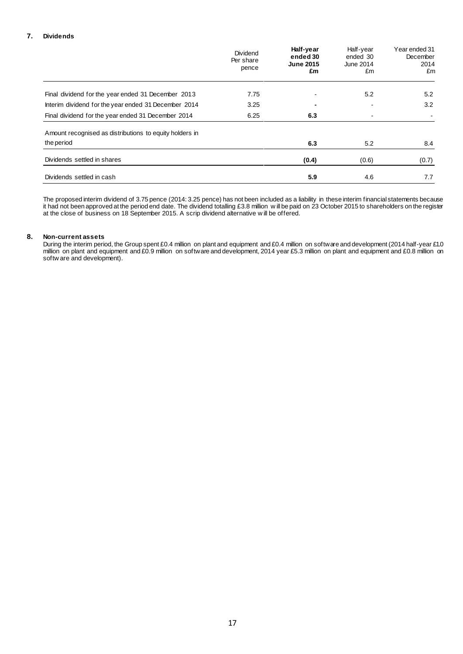### **7. Dividends**

|                                                         | Dividend<br>Per share<br>pence | Half-year<br>ended 30<br><b>June 2015</b><br>£m | Half-year<br>ended 30<br>June 2014<br>£m | Year ended 31<br>December<br>2014<br>£m |
|---------------------------------------------------------|--------------------------------|-------------------------------------------------|------------------------------------------|-----------------------------------------|
| Final dividend for the year ended 31 December 2013      | 7.75                           |                                                 | 5.2                                      | 5.2                                     |
| Interim dividend for the year ended 31 December 2014    | 3.25                           |                                                 |                                          | 3.2                                     |
| Final dividend for the year ended 31 December 2014      | 6.25                           | 6.3                                             | ۰                                        |                                         |
| Amount recognised as distributions to equity holders in |                                |                                                 |                                          |                                         |
| the period                                              |                                | 6.3                                             | 5.2                                      | 8.4                                     |
| Dividends settled in shares                             |                                | (0.4)                                           | (0.6)                                    | (0.7)                                   |
| Dividends settled in cash                               |                                | 5.9                                             | 4.6                                      | 7.7                                     |

The proposed interim dividend of 3.75 pence (2014: 3.25 pence) has not been included as a liability in these interim financial statements because it had not been approved at the period end date. The dividend totalling £3.8 million w ill be paid on 23 October 2015 to shareholders on the register at the close of business on 18 September 2015. A scrip dividend alternative w ill be offered.

## **8. Non-current assets**

During the interim period, the Group spent £0.4 million on plant and equipment and £0.4 million on software and development (2014 half-year £1.0 million on plant and equipment and £0.9 million on software and development, 2014 year £5.3 million on plant and equipment and £0.8 million on softw are and development).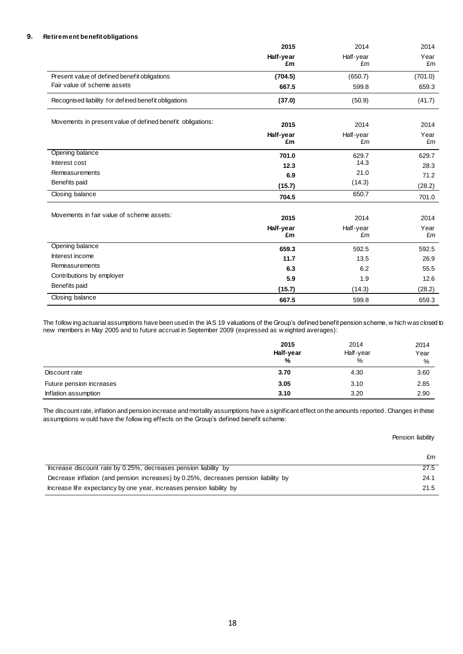## **9. Retirement benefit obligations**

|                                                            | 2015<br>Half-year<br>£m | 2014<br>Half-year<br>£m | 2014<br>Year<br>£m |
|------------------------------------------------------------|-------------------------|-------------------------|--------------------|
|                                                            |                         |                         |                    |
| Present value of defined benefit obligations               | (704.5)                 | (650.7)                 | (701.0)            |
| Fair value of scheme assets                                | 667.5                   | 599.8                   | 659.3              |
| Recognised liability for defined benefit obligations       | (37.0)                  | (50.9)                  | (41.7)             |
| Movements in present value of defined benefit obligations: | 2015                    | 2014                    | 2014               |
|                                                            | Half-year<br>£m         | Half-year<br>£m         | Year<br>£m         |
| Opening balance                                            | 701.0                   | 629.7                   | 629.7              |
| Interest cost                                              | 12.3                    | 14.3                    | 28.3               |
| Remeasurements                                             | 6.9                     | 21.0                    | 71.2               |
| Benefits paid                                              | (15.7)                  | (14.3)                  | (28.2)             |
| Closing balance                                            | 704.5                   | 650.7                   | 701.0              |
| Movements in fair value of scheme assets:                  | 2015                    | 2014                    | 2014               |
|                                                            | Half-year<br>£m         | Half-year<br>£m         | Year<br>£m         |
| Opening balance                                            | 659.3                   | 592.5                   | 592.5              |
| Interest income                                            | 11.7                    | 13.5                    | 26.9               |
| Remeasurements                                             | 6.3                     | 6.2                     | 55.5               |
| Contributions by employer                                  | 5.9                     | 1.9                     | 12.6               |
| Benefits paid                                              | (15.7)                  | (14.3)                  | (28.2)             |
| Closing balance                                            | 667.5                   | 599.8                   | 659.3              |

The follow ing actuarial assumptions have been used in the IAS 19 valuations of the Group's defined benefit pension scheme, w hich was closed to new members in May 2005 and to future accrual in September 2009 (expressed as w eighted averages):

|                          | 2015      | 2014      | 2014 |
|--------------------------|-----------|-----------|------|
|                          | Half-year | Half-year | Year |
|                          | %         | %         | $\%$ |
| Discount rate            | 3.70      | 4.30      | 3.60 |
| Future pension increases | 3.05      | 3.10      | 2.85 |
| Inflation assumption     | 3.10      | 3.20      | 2.90 |

The discount rate, inflation and pension increase and mortality assumptions have a significant effect on the amounts reported. Changes in these assumptions w ould have the follow ing effects on the Group's defined benefit scheme:

#### Pension liability

|                                                                                     | £m   |
|-------------------------------------------------------------------------------------|------|
| Increase discount rate by 0.25%, decreases pension liability by                     | 27.5 |
| Decrease inflation (and pension increases) by 0.25%, decreases pension liability by | 24.1 |
| Increase life expectancy by one year, increases pension liability by                | 21.5 |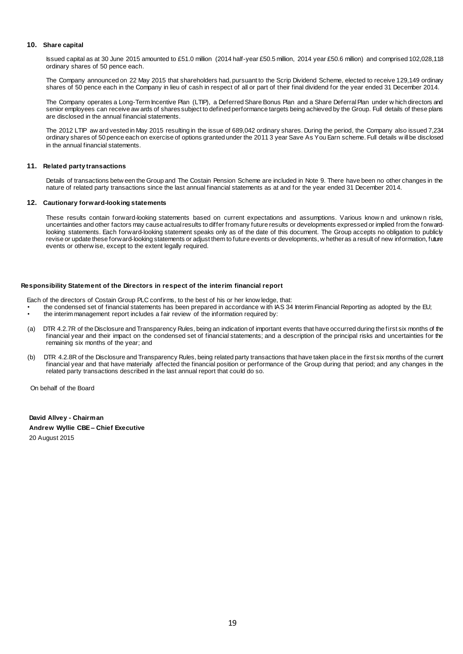#### **10. Share capital**

Issued capital as at 30 June 2015 amounted to £51.0 million (2014 half-year £50.5 million, 2014 year £50.6 million) and comprised 102,028,118 ordinary shares of 50 pence each.

The Company announced on 22 May 2015 that shareholders had, pursuant to the Scrip Dividend Scheme, elected to receive 129,149 ordinary shares of 50 pence each in the Company in lieu of cash in respect of all or part of their final dividend for the year ended 31 December 2014.

The Company operates a Long-Term Incentive Plan (LTIP), a Deferred Share Bonus Plan and a Share Deferral Plan under w hich directors and senior employees can receive aw ards of shares subject to defined performance targets being achieved by the Group. Full details of these plans are disclosed in the annual financial statements.

The 2012 LTIP aw ard vested in May 2015 resulting in the issue of 689,042 ordinary shares. During the period, the Company also issued 7,234 ordinary shares of 50 pence each on exercise of options granted under the 2011 3 year Save As You Earn scheme. Full details w ill be disclosed in the annual financial statements.

#### **11. Related party transactions**

Details of transactions betw een the Group and The Costain Pension Scheme are included in Note 9. There have been no other changes in the nature of related party transactions since the last annual financial statements as at and for the year ended 31 December 2014.

#### **12. Cautionary forward-looking statements**

These results contain forward-looking statements based on current expectations and assumptions. Various know n and unknow n risks, uncertainties and other factors may cause actual results to differ from any future results or developments expressed or implied from the forwardlooking statements. Each forward-looking statement speaks only as of the date of this document. The Group accepts no obligation to publicly revise or update these forward-looking statements or adjust them to future events or developments, w hether as a result of new information, future events or otherw ise, except to the extent legally required.

#### **Responsibility Statement of the Directors in respect of the interim financial report**

Each of the directors of Costain Group PLC confirms, to the best of his or her know ledge, that:

- the condensed set of financial statements has been prepared in accordance w ith IAS 34 Interim Financial Reporting as adopted by the EU;
- the interim management report includes a fair review of the information required by:
- (a) DTR 4.2.7R of the Disclosure and Transparency Rules, being an indication of important events that have occurred during the first six months of the financial year and their impact on the condensed set of financial statements; and a description of the principal risks and uncertainties for the remaining six months of the year; and
- (b) DTR 4.2.8R of the Disclosure and Transparency Rules, being related party transactions that have taken place in the first six months of the current financial year and that have materially affected the financial position or performance of the Group during that period; and any changes in the related party transactions described in the last annual report that could do so.

On behalf of the Board

**David Allvey - Chairman Andrew Wyllie CBE – Chief Executive** 20 August 2015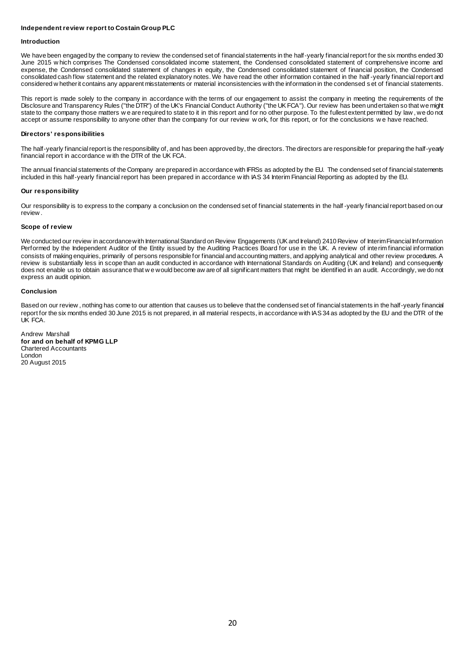#### **Independent review report to Costain Group PLC**

#### **Introduction**

We have been engaged by the company to review the condensed set of financial statements in the half-yearly financial report for the six months ended 30 June 2015 w hich comprises The Condensed consolidated income statement, the Condensed consolidated statement of comprehensive income and expense, the Condensed consolidated statement of changes in equity, the Condensed consolidated statement of financial position, the Condensed consolidated cash flow statement and the related explanatory notes. We have read the other information contained in the half -yearly financial report and considered w hether it contains any apparent misstatements or material inconsistencies with the information in the condensed s et of financial statements.

This report is made solely to the company in accordance with the terms of our engagement to assist the company in meeting the requirements of the Disclosure and Transparency Rules ("the DTR") of the UK's Financial Conduct Authority ("the UK FCA"). Our review has been undertaken so that we might state to the company those matters w e are required to state to it in this report and for no other purpose. To the fullest extent permitted by law , we do not accept or assume responsibility to anyone other than the company for our review w ork, for this report, or for the conclusions w e have reached.

#### **Directors' responsibilities**

The half-yearly financial report is the responsibility of, and has been approved by, the directors. The directors are responsible for preparing the half-yearly financial report in accordance w ith the DTR of the UK FCA.

The annual financial statements of the Company are prepared in accordance with IFRSs as adopted by the EU. The condensed set of financial statements included in this half-yearly financial report has been prepared in accordance w ith IAS 34 Interim Financial Reporting as adopted by the EU.

#### **Our responsibility**

Our responsibility is to express to the company a conclusion on the condensed set of financial statements in the half -yearly financial report based on our review .

#### **Scope of review**

We conducted our review in accordance with International Standard on Review Engagements (UK and Ireland) 2410 Review of Interim Financial Information Performed by the Independent Auditor of the Entity issued by the Auditing Practices Board for use in the UK. A review of interim financial information consists of making enquiries, primarily of persons responsible for financial and accounting matters, and applying analytical and other review procedures. A review is substantially less in scope than an audit conducted in accordance with International Standards on Auditing (UK and Ireland) and consequently does not enable us to obtain assurance that w e would become aw are of all significant matters that might be identified in an audit. Accordingly, we do not express an audit opinion.

#### **Conclusion**

Based on our review, nothing has come to our attention that causes us to believe that the condensed set of financial statements in the half-yearly financial report for the six months ended 30 June 2015 is not prepared, in all material respects, in accordance with IAS 34 as adopted by the EU and the DTR of the UK FCA.

Andrew Marshall **for and on behalf of KPMG LLP** Chartered Accountants London 20 August 2015